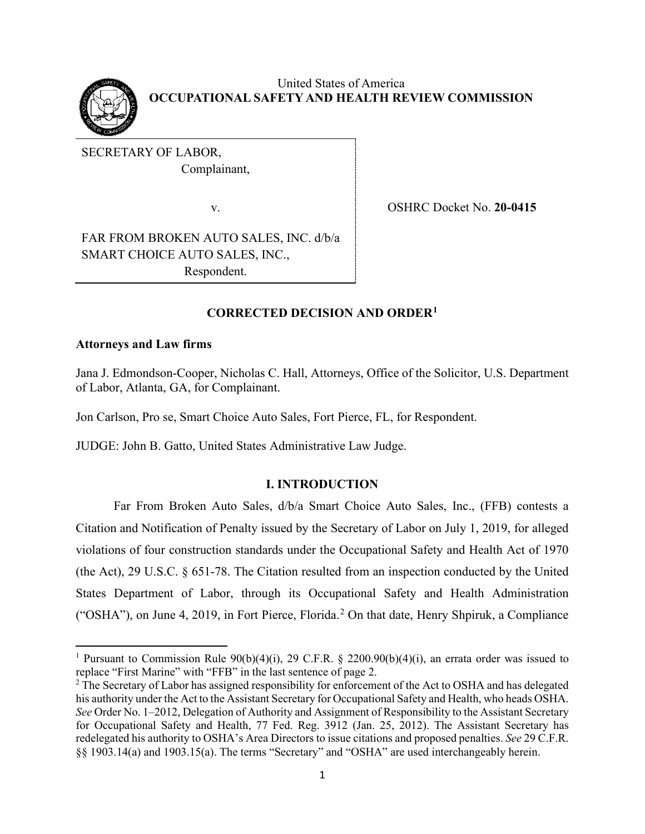

United States of America **OCCUPATIONAL SAFETY AND HEALTH REVIEW COMMISSION**

SECRETARY OF LABOR, Complainant,

v. OSHRC Docket No. **20-0415**

FAR FROM BROKEN AUTO SALES, INC. d/b/a SMART CHOICE AUTO SALES, INC., Respondent.

# **CORRECTED DECISION AND ORDER[1](#page-0-0)**

# **Attorneys and Law firms**

Jana J. Edmondson-Cooper, Nicholas C. Hall, Attorneys, Office of the Solicitor, U.S. Department of Labor, Atlanta, GA, for Complainant.

Jon Carlson, Pro se, Smart Choice Auto Sales, Fort Pierce, FL, for Respondent.

JUDGE: John B. Gatto, United States Administrative Law Judge.

# **I. INTRODUCTION**

Far From Broken Auto Sales, d/b/a Smart Choice Auto Sales, Inc., (FFB) contests a Citation and Notification of Penalty issued by the Secretary of Labor on July 1, 2019, for alleged violations of four construction standards under the Occupational Safety and Health Act of 1970 (the Act), 29 U.S.C. § 651-78. The Citation resulted from an inspection conducted by the United States Department of Labor, through its Occupational Safety and Health Administration ("OSHA"), on June 4, [2](#page-0-1)019, in Fort Pierce, Florida.<sup>2</sup> On that date, Henry Shpiruk, a Compliance

<span id="page-0-0"></span><sup>&</sup>lt;sup>1</sup> Pursuant to Commission Rule 90(b)(4)(i), 29 C.F.R. § 2200.90(b)(4)(i), an errata order was issued to replace "First Marine" with "FFB" in the last sentence of page 2.

<span id="page-0-1"></span> $2 \text{ The Secretary of Labor has assigned responsibility for enforcement of the Act to OSHA and has delegated.}$ his authority under the Act to the Assistant Secretary for Occupational Safety and Health, who heads OSHA. See Order No. 1-2012, Delegation of Authority and Assignment of Responsibility to the Assistant Secretary for Occupational Safety and Health, 77 Fed. Reg. 3912 (Jan. 25, 2012). The Assistant Secretary has redelegated his authority to OSHA's Area Directors to issue citations and proposed penalties. *See* 29 C.F.R. §§ 1903.14(a) and 1903.15(a). The terms "Secretary" and "OSHA" are used interchangeably herein.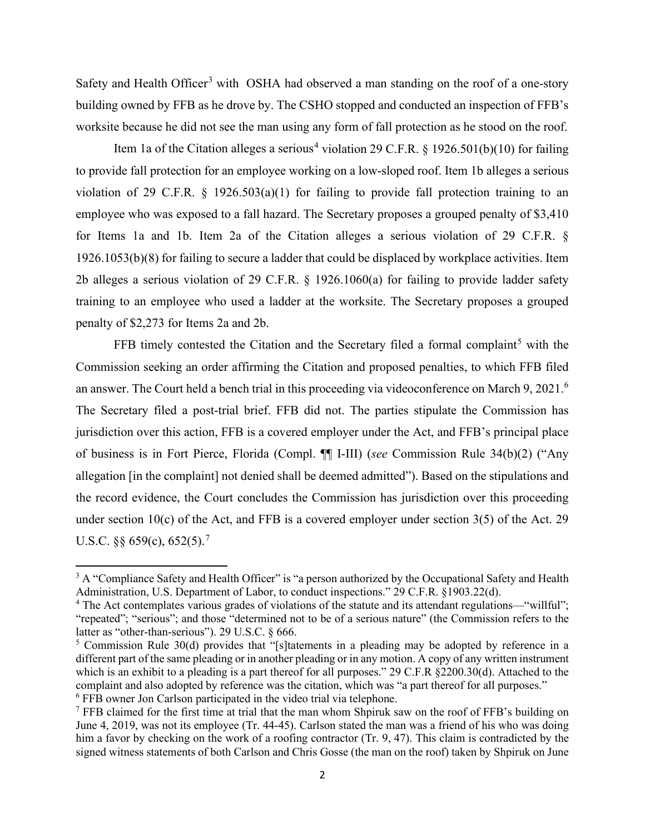Safety and Health Officer<sup>[3](#page-1-0)</sup> with OSHA had observed a man standing on the roof of a one-story building owned by FFB as he drove by. The CSHO stopped and conducted an inspection of FFB's worksite because he did not see the man using any form of fall protection as he stood on the roof.

Item 1a of the Citation alleges a serious<sup>[4](#page-1-1)</sup> violation 29 C.F.R. § 1926.501(b)(10) for failing to provide fall protection for an employee working on a low-sloped roof. Item 1b alleges a serious violation of 29 C.F.R.  $\S$  1926.503(a)(1) for failing to provide fall protection training to an employee who was exposed to a fall hazard. The Secretary proposes a grouped penalty of \$3,410 for Items 1a and 1b. Item 2a of the Citation alleges a serious violation of 29 C.F.R. § 1926.1053(b)(8) for failing to secure a ladder that could be displaced by workplace activities. Item 2b alleges a serious violation of 29 C.F.R. § 1926.1060(a) for failing to provide ladder safety training to an employee who used a ladder at the worksite. The Secretary proposes a grouped penalty of \$2,273 for Items 2a and 2b.

FFB timely contested the Citation and the Secretary filed a formal complaint<sup>[5](#page-1-2)</sup> with the Commission seeking an order affirming the Citation and proposed penalties, to which FFB filed an answer. The Court held a bench trial in this proceeding via videoconference on March 9, 2021.<sup>[6](#page-1-3)</sup> The Secretary filed a post-trial brief. FFB did not. The parties stipulate the Commission has jurisdiction over this action, FFB is a covered employer under the Act, and FFB's principal place of business is in Fort Pierce, Florida (Compl. ¶¶ I-III) (*see* Commission Rule 34(b)(2) ("Any allegation [in the complaint] not denied shall be deemed admitted"). Based on the stipulations and the record evidence, the Court concludes the Commission has jurisdiction over this proceeding under section  $10(c)$  of the Act, and FFB is a covered employer under section  $3(5)$  of the Act. 29 U.S.C.  $\S$ § 659(c), 652(5).<sup>[7](#page-1-4)</sup>

<span id="page-1-0"></span><sup>&</sup>lt;sup>3</sup> A "Compliance Safety and Health Officer" is "a person authorized by the Occupational Safety and Health Administration, U.S. Department of Labor, to conduct inspections." 29 C.F.R. §1903.22(d).

<span id="page-1-1"></span><sup>&</sup>lt;sup>4</sup> The Act contemplates various grades of violations of the statute and its attendant regulations—"willful"; "repeated"; "serious"; and those "determined not to be of a serious nature" (the Commission refers to the latter as "other-than-serious"). 29 U.S.C. § 666.

<span id="page-1-2"></span><sup>&</sup>lt;sup>5</sup> Commission Rule 30(d) provides that "[s]tatements in a pleading may be adopted by reference in a different part of the same pleading or in another pleading or in any motion. A copy of any written instrument which is an exhibit to a pleading is a part thereof for all purposes." 29 C.F.R §2200.30(d). Attached to the complaint and also adopted by reference was the citation, which was "a part thereof for all purposes." <sup>6</sup> FFB owner Jon Carlson participated in the video trial via telephone.

<span id="page-1-4"></span><span id="page-1-3"></span><sup>7</sup> FFB claimed for the first time at trial that the man whom Shpiruk saw on the roof of FFB's building on June 4, 2019, was not its employee (Tr. 44-45). Carlson stated the man was a friend of his who was doing him a favor by checking on the work of a roofing contractor (Tr. 9, 47). This claim is contradicted by the signed witness statements of both Carlson and Chris Gosse (the man on the roof) taken by Shpiruk on June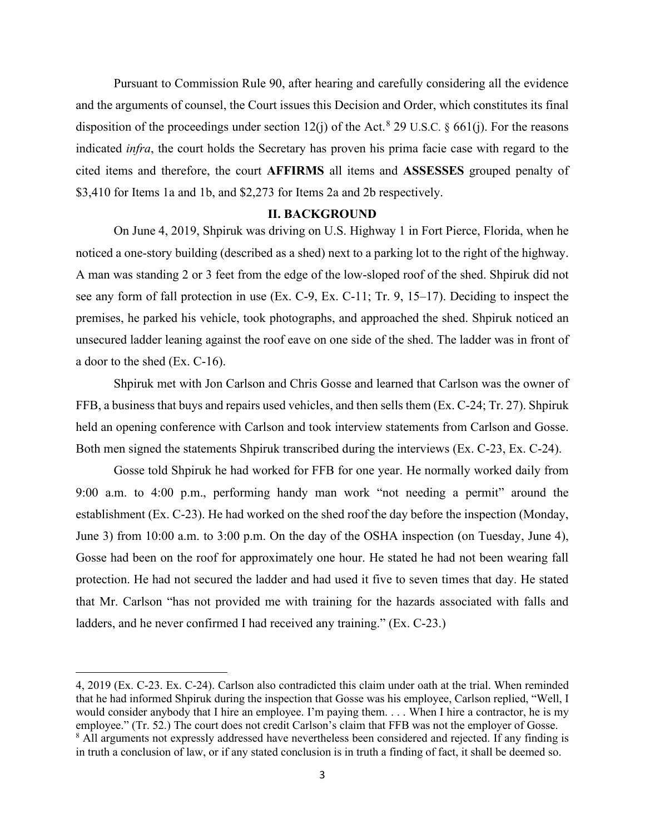Pursuant to Commission Rule 90, after hearing and carefully considering all the evidence and the arguments of counsel, the Court issues this Decision and Order, which constitutes its final disposition of the proceedings under section 12(j) of the Act.<sup>[8](#page-2-0)</sup> 29 U.S.C. § 661(j). For the reasons indicated *infra*, the court holds the Secretary has proven his prima facie case with regard to the cited items and therefore, the court **AFFIRMS** all items and **ASSESSES** grouped penalty of \$3,410 for Items 1a and 1b, and \$2,273 for Items 2a and 2b respectively.

#### **II. BACKGROUND**

On June 4, 2019, Shpiruk was driving on U.S. Highway 1 in Fort Pierce, Florida, when he noticed a one-story building (described as a shed) next to a parking lot to the right of the highway. A man was standing 2 or 3 feet from the edge of the low-sloped roof of the shed. Shpiruk did not see any form of fall protection in use (Ex. C-9, Ex. C-11; Tr. 9, 15–17). Deciding to inspect the premises, he parked his vehicle, took photographs, and approached the shed. Shpiruk noticed an unsecured ladder leaning against the roof eave on one side of the shed. The ladder was in front of a door to the shed (Ex. C-16).

 Shpiruk met with Jon Carlson and Chris Gosse and learned that Carlson was the owner of FFB, a business that buys and repairs used vehicles, and then sells them (Ex. C-24; Tr. 27). Shpiruk held an opening conference with Carlson and took interview statements from Carlson and Gosse. Both men signed the statements Shpiruk transcribed during the interviews (Ex. C-23, Ex. C-24).

Gosse told Shpiruk he had worked for FFB for one year. He normally worked daily from 9:00 a.m. to 4:00 p.m., performing handy man work "not needing a permit" around the establishment (Ex. C-23). He had worked on the shed roof the day before the inspection (Monday, June 3) from 10:00 a.m. to 3:00 p.m. On the day of the OSHA inspection (on Tuesday, June 4), Gosse had been on the roof for approximately one hour. He stated he had not been wearing fall protection. He had not secured the ladder and had used it five to seven times that day. He stated that Mr. Carlson "has not provided me with training for the hazards associated with falls and ladders, and he never confirmed I had received any training." (Ex. C-23.)

<span id="page-2-0"></span><sup>4, 2019</sup> (Ex. C-23. Ex. C-24). Carlson also contradicted this claim under oath at the trial. When reminded that he had informed Shpiruk during the inspection that Gosse was his employee, Carlson replied, "Well, I would consider anybody that I hire an employee. I'm paying them. . . . When I hire a contractor, he is my employee." (Tr. 52.) The court does not credit Carlson's claim that FFB was not the employer of Gosse. <sup>8</sup> All arguments not expressly addressed have nevertheless been considered and rejected. If any finding is in truth a conclusion of law, or if any stated conclusion is in truth a finding of fact, it shall be deemed so.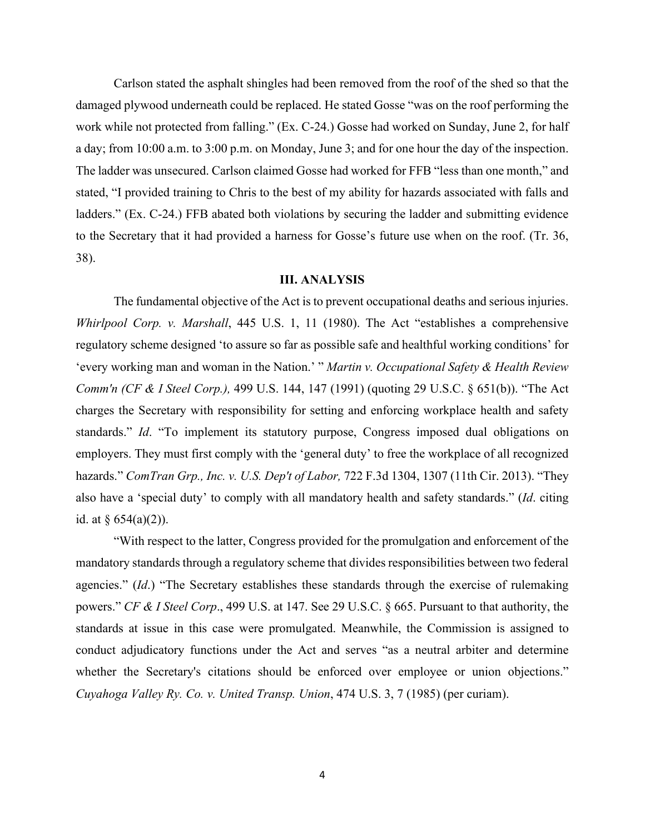Carlson stated the asphalt shingles had been removed from the roof of the shed so that the damaged plywood underneath could be replaced. He stated Gosse "was on the roof performing the work while not protected from falling." (Ex. C-24.) Gosse had worked on Sunday, June 2, for half a day; from 10:00 a.m. to 3:00 p.m. on Monday, June 3; and for one hour the day of the inspection. The ladder was unsecured. Carlson claimed Gosse had worked for FFB "less than one month," and stated, "I provided training to Chris to the best of my ability for hazards associated with falls and ladders." (Ex. C-24.) FFB abated both violations by securing the ladder and submitting evidence to the Secretary that it had provided a harness for Gosse's future use when on the roof. (Tr. 36, 38).

#### **III. ANALYSIS**

The fundamental objective of the Act is to prevent occupational deaths and serious injuries. *Whirlpool Corp. v. Marshall*, 445 U.S. 1, 11 (1980). The Act "establishes a comprehensive regulatory scheme designed 'to assure so far as possible safe and healthful working conditions' for 'every working man and woman in the Nation.' " *Martin v. Occupational Safety & Health Review Comm'n (CF & I Steel Corp.),* 499 U.S. 144, 147 (1991) (quoting 29 U.S.C. § 651(b)). "The Act charges the Secretary with responsibility for setting and enforcing workplace health and safety standards." *Id*. "To implement its statutory purpose, Congress imposed dual obligations on employers. They must first comply with the 'general duty' to free the workplace of all recognized hazards." *ComTran Grp., Inc. v. U.S. Dep't of Labor,* 722 F.3d 1304, 1307 (11th Cir. 2013). "They also have a 'special duty' to comply with all mandatory health and safety standards." (*Id*. citing id. at  $§ 654(a)(2)$ ).

"With respect to the latter, Congress provided for the promulgation and enforcement of the mandatory standards through a regulatory scheme that divides responsibilities between two federal agencies." (*Id*.) "The Secretary establishes these standards through the exercise of rulemaking powers." *CF & I Steel Corp*., 499 U.S. at 147. See 29 U.S.C. § 665. Pursuant to that authority, the standards at issue in this case were promulgated. Meanwhile, the Commission is assigned to conduct adjudicatory functions under the Act and serves "as a neutral arbiter and determine whether the Secretary's citations should be enforced over employee or union objections." *Cuyahoga Valley Ry. Co. v. United Transp. Union*, 474 U.S. 3, 7 (1985) (per curiam).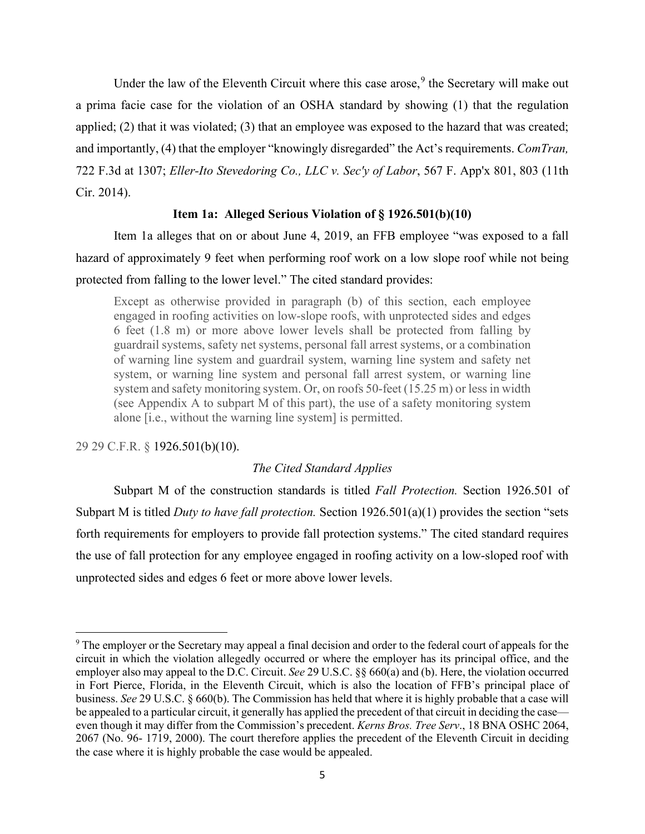Under the law of the Eleventh Circuit where this case arose,  $9$  the Secretary will make out a prima facie case for the violation of an OSHA standard by showing (1) that the regulation applied; (2) that it was violated; (3) that an employee was exposed to the hazard that was created; and importantly, (4) that the employer "knowingly disregarded" the Act's requirements. *ComTran,*  722 F.3d at 1307; *Eller-Ito Stevedoring Co., LLC v. Sec'y of Labor*, 567 F. App'x 801, 803 (11th Cir. 2014).

# **Item 1a: Alleged Serious Violation of § 1926.501(b)(10)**

Item 1a alleges that on or about June 4, 2019, an FFB employee "was exposed to a fall hazard of approximately 9 feet when performing roof work on a low slope roof while not being protected from falling to the lower level." The cited standard provides:

Except as otherwise provided in paragraph (b) of this section, each employee engaged in roofing activities on low-slope roofs, with unprotected sides and edges 6 feet (1.8 m) or more above lower levels shall be protected from falling by guardrail systems, safety net systems, personal fall arrest systems, or a combination of warning line system and guardrail system, warning line system and safety net system, or warning line system and personal fall arrest system, or warning line system and safety monitoring system. Or, on roofs 50-feet (15.25 m) or less in width (see Appendix A to subpart M of this part), the use of a safety monitoring system alone [i.e., without the warning line system] is permitted.

29 29 C.F.R. § 1926.501(b)(10).

# *The Cited Standard Applies*

Subpart M of the construction standards is titled *Fall Protection.* Section 1926.501 of Subpart M is titled *Duty to have fall protection.* Section 1926.501(a)(1) provides the section "sets forth requirements for employers to provide fall protection systems." The cited standard requires the use of fall protection for any employee engaged in roofing activity on a low-sloped roof with unprotected sides and edges 6 feet or more above lower levels.

<span id="page-4-0"></span><sup>&</sup>lt;sup>9</sup> The employer or the Secretary may appeal a final decision and order to the federal court of appeals for the circuit in which the violation allegedly occurred or where the employer has its principal office, and the employer also may appeal to the D.C. Circuit. *See* 29 U.S.C. §§ 660(a) and (b). Here, the violation occurred in Fort Pierce, Florida, in the Eleventh Circuit, which is also the location of FFB's principal place of business. *See* 29 U.S.C. § 660(b). The Commission has held that where it is highly probable that a case will be appealed to a particular circuit, it generally has applied the precedent of that circuit in deciding the case even though it may differ from the Commission's precedent. *Kerns Bros. Tree Serv*., 18 BNA OSHC 2064, 2067 (No. 96- 1719, 2000). The court therefore applies the precedent of the Eleventh Circuit in deciding the case where it is highly probable the case would be appealed.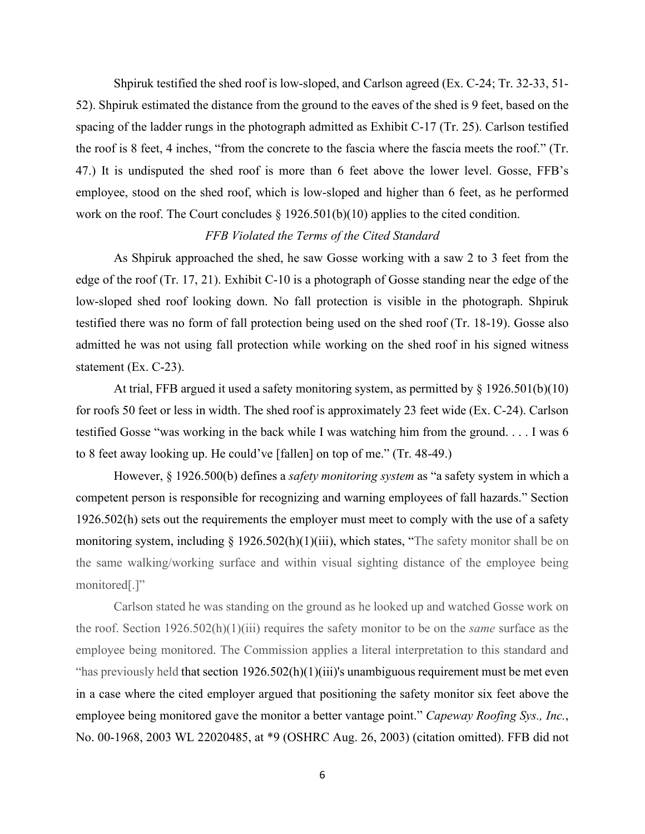Shpiruk testified the shed roof is low-sloped, and Carlson agreed (Ex. C-24; Tr. 32-33, 51- 52). Shpiruk estimated the distance from the ground to the eaves of the shed is 9 feet, based on the spacing of the ladder rungs in the photograph admitted as Exhibit C-17 (Tr. 25). Carlson testified the roof is 8 feet, 4 inches, "from the concrete to the fascia where the fascia meets the roof." (Tr. 47.) It is undisputed the shed roof is more than 6 feet above the lower level. Gosse, FFB's employee, stood on the shed roof, which is low-sloped and higher than 6 feet, as he performed work on the roof. The Court concludes § 1926.501(b)(10) applies to the cited condition.

# *FFB Violated the Terms of the Cited Standard*

As Shpiruk approached the shed, he saw Gosse working with a saw 2 to 3 feet from the edge of the roof (Tr. 17, 21). Exhibit C-10 is a photograph of Gosse standing near the edge of the low-sloped shed roof looking down. No fall protection is visible in the photograph. Shpiruk testified there was no form of fall protection being used on the shed roof (Tr. 18-19). Gosse also admitted he was not using fall protection while working on the shed roof in his signed witness statement (Ex. C-23).

At trial, FFB argued it used a safety monitoring system, as permitted by  $\S$  1926.501(b)(10) for roofs 50 feet or less in width. The shed roof is approximately 23 feet wide (Ex. C-24). Carlson testified Gosse "was working in the back while I was watching him from the ground. . . . I was 6 to 8 feet away looking up. He could've [fallen] on top of me." (Tr. 48-49.)

However, § 1926.500(b) defines a *safety monitoring system* as "a safety system in which a competent person is responsible for recognizing and warning employees of fall hazards." Section 1926.502(h) sets out the requirements the employer must meet to comply with the use of a safety monitoring system, including  $\S$  1926.502(h)(1)(iii), which states, "The safety monitor shall be on the same walking/working surface and within visual sighting distance of the employee being monitored[.]"

Carlson stated he was standing on the ground as he looked up and watched Gosse work on the roof. Section 1926.502(h)(1)(iii) requires the safety monitor to be on the *same* surface as the employee being monitored. The Commission applies a literal interpretation to this standard and "has previously held that section  $1926.502(h)(1)(iii)$ " unambiguous requirement must be met even in a case where the cited employer argued that positioning the safety monitor six feet above the employee being monitored gave the monitor a better vantage point." *Capeway Roofing Sys., Inc.*, No. 00-1968, 2003 WL 22020485, at \*9 (OSHRC Aug. 26, 2003) (citation omitted). FFB did not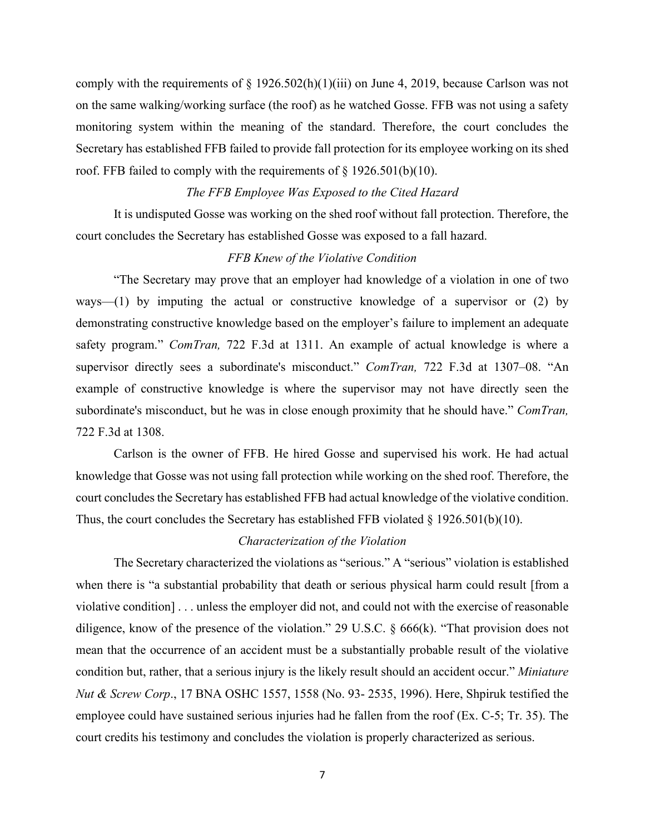comply with the requirements of  $\S 1926.502(h)(1)(iii)$  on June 4, 2019, because Carlson was not on the same walking/working surface (the roof) as he watched Gosse. FFB was not using a safety monitoring system within the meaning of the standard. Therefore, the court concludes the Secretary has established FFB failed to provide fall protection for its employee working on its shed roof. FFB failed to comply with the requirements of § 1926.501(b)(10).

# *The FFB Employee Was Exposed to the Cited Hazard*

It is undisputed Gosse was working on the shed roof without fall protection. Therefore, the court concludes the Secretary has established Gosse was exposed to a fall hazard.

# *FFB Knew of the Violative Condition*

"The Secretary may prove that an employer had knowledge of a violation in one of two ways—(1) by imputing the actual or constructive knowledge of a supervisor or (2) by demonstrating constructive knowledge based on the employer's failure to implement an adequate safety program." *ComTran,* 722 F.3d at 1311. An example of actual knowledge is where a supervisor directly sees a subordinate's misconduct." *ComTran,* 722 F.3d at 1307–08. "An example of constructive knowledge is where the supervisor may not have directly seen the subordinate's misconduct, but he was in close enough proximity that he should have." *ComTran,* 722 F.3d at 1308.

Carlson is the owner of FFB. He hired Gosse and supervised his work. He had actual knowledge that Gosse was not using fall protection while working on the shed roof. Therefore, the court concludes the Secretary has established FFB had actual knowledge of the violative condition. Thus, the court concludes the Secretary has established FFB violated § 1926.501(b)(10).

## *Characterization of the Violation*

The Secretary characterized the violations as "serious." A "serious" violation is established when there is "a substantial probability that death or serious physical harm could result [from a violative condition] . . . unless the employer did not, and could not with the exercise of reasonable diligence, know of the presence of the violation." 29 U.S.C. § 666(k). "That provision does not mean that the occurrence of an accident must be a substantially probable result of the violative condition but, rather, that a serious injury is the likely result should an accident occur." *Miniature Nut & Screw Corp*., 17 BNA OSHC 1557, 1558 (No. 93- 2535, 1996). Here, Shpiruk testified the employee could have sustained serious injuries had he fallen from the roof (Ex. C-5; Tr. 35). The court credits his testimony and concludes the violation is properly characterized as serious.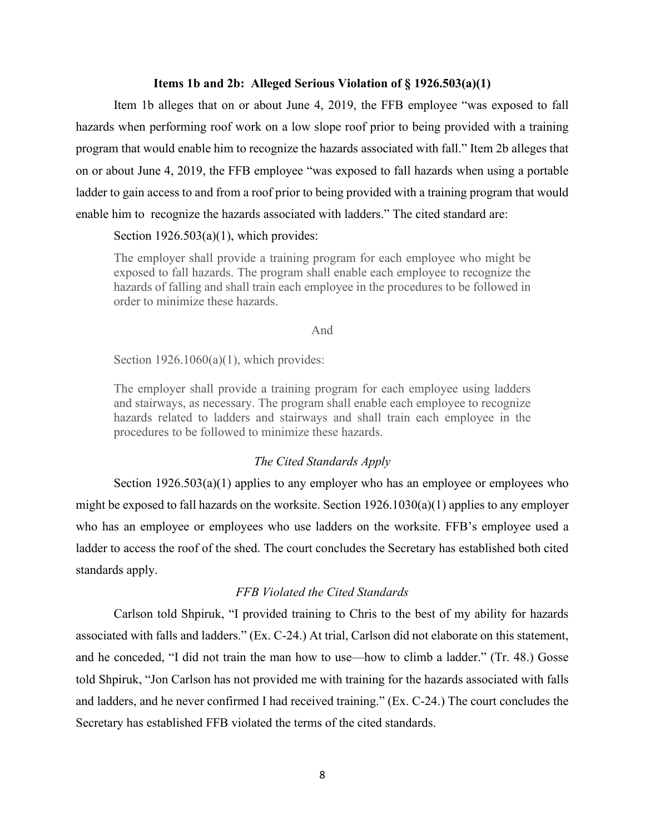# **Items 1b and 2b: Alleged Serious Violation of § 1926.503(a)(1)**

Item 1b alleges that on or about June 4, 2019, the FFB employee "was exposed to fall hazards when performing roof work on a low slope roof prior to being provided with a training program that would enable him to recognize the hazards associated with fall." Item 2b alleges that on or about June 4, 2019, the FFB employee "was exposed to fall hazards when using a portable ladder to gain access to and from a roof prior to being provided with a training program that would enable him to recognize the hazards associated with ladders." The cited standard are:

#### Section  $1926.503(a)(1)$ , which provides:

The employer shall provide a training program for each employee who might be exposed to fall hazards. The program shall enable each employee to recognize the hazards of falling and shall train each employee in the procedures to be followed in order to minimize these hazards.

### And

Section  $1926.1060(a)(1)$ , which provides:

The employer shall provide a training program for each employee using ladders and stairways, as necessary. The program shall enable each employee to recognize hazards related to ladders and stairways and shall train each employee in the procedures to be followed to minimize these hazards.

#### *The Cited Standards Apply*

Section 1926.503(a)(1) applies to any employer who has an employee or employees who might be exposed to fall hazards on the worksite. Section 1926.1030(a)(1) applies to any employer who has an employee or employees who use ladders on the worksite. FFB's employee used a ladder to access the roof of the shed. The court concludes the Secretary has established both cited standards apply.

#### *FFB Violated the Cited Standards*

 Carlson told Shpiruk, "I provided training to Chris to the best of my ability for hazards associated with falls and ladders." (Ex. C-24.) At trial, Carlson did not elaborate on this statement, and he conceded, "I did not train the man how to use—how to climb a ladder." (Tr. 48.) Gosse told Shpiruk, "Jon Carlson has not provided me with training for the hazards associated with falls and ladders, and he never confirmed I had received training." (Ex. C-24.) The court concludes the Secretary has established FFB violated the terms of the cited standards.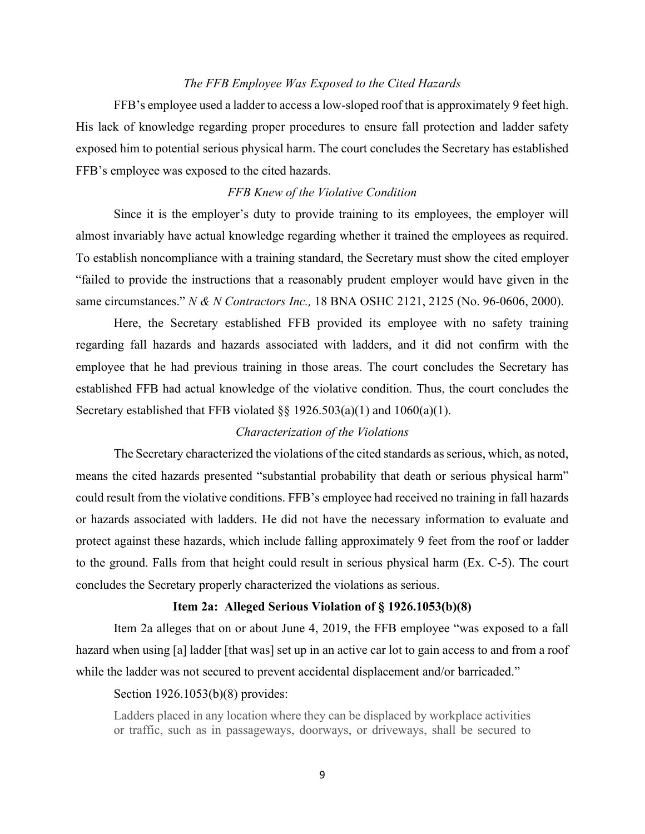# *The FFB Employee Was Exposed to the Cited Hazards*

FFB's employee used a ladder to access a low-sloped roof that is approximately 9 feet high. His lack of knowledge regarding proper procedures to ensure fall protection and ladder safety exposed him to potential serious physical harm. The court concludes the Secretary has established FFB's employee was exposed to the cited hazards.

# *FFB Knew of the Violative Condition*

Since it is the employer's duty to provide training to its employees, the employer will almost invariably have actual knowledge regarding whether it trained the employees as required. To establish noncompliance with a training standard, the Secretary must show the cited employer "failed to provide the instructions that a reasonably prudent employer would have given in the same circumstances." *N & N Contractors Inc.,* 18 BNA OSHC 2121, 2125 (No. 96-0606, 2000).

Here, the Secretary established FFB provided its employee with no safety training regarding fall hazards and hazards associated with ladders, and it did not confirm with the employee that he had previous training in those areas. The court concludes the Secretary has established FFB had actual knowledge of the violative condition. Thus, the court concludes the Secretary established that FFB violated  $\S$ § 1926.503(a)(1) and 1060(a)(1).

### *Characterization of the Violations*

The Secretary characterized the violations of the cited standards as serious, which, as noted, means the cited hazards presented "substantial probability that death or serious physical harm" could result from the violative conditions. FFB's employee had received no training in fall hazards or hazards associated with ladders. He did not have the necessary information to evaluate and protect against these hazards, which include falling approximately 9 feet from the roof or ladder to the ground. Falls from that height could result in serious physical harm (Ex. C-5). The court concludes the Secretary properly characterized the violations as serious.

## **Item 2a: Alleged Serious Violation of § 1926.1053(b)(8)**

Item 2a alleges that on or about June 4, 2019, the FFB employee "was exposed to a fall hazard when using [a] ladder [that was] set up in an active car lot to gain access to and from a roof while the ladder was not secured to prevent accidental displacement and/or barricaded."

#### Section 1926.1053(b)(8) provides:

Ladders placed in any location where they can be displaced by workplace activities or traffic, such as in passageways, doorways, or driveways, shall be secured to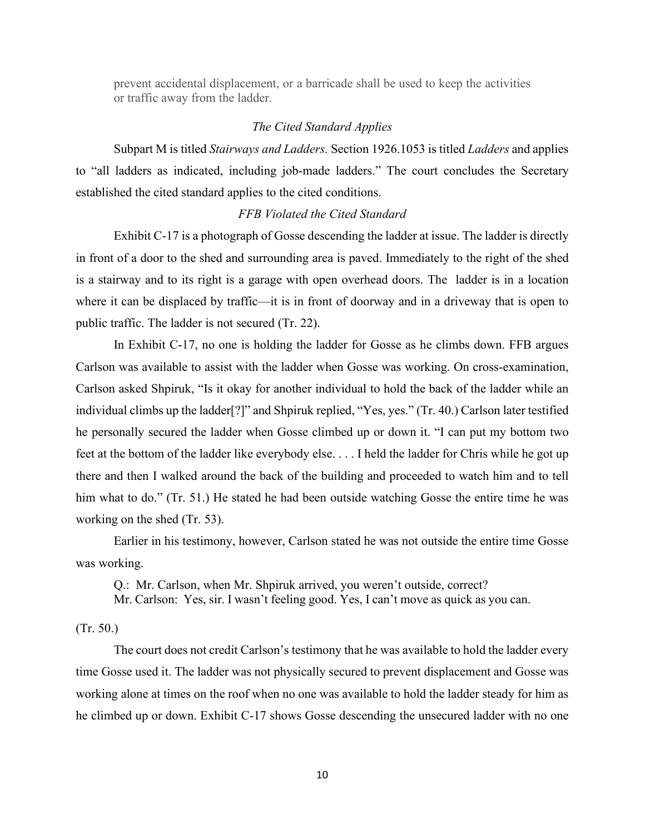prevent accidental displacement, or a barricade shall be used to keep the activities or traffic away from the ladder.

# *The Cited Standard Applies*

Subpart M is titled *Stairways and Ladders.* Section 1926.1053 is titled *Ladders* and applies to "all ladders as indicated, including job-made ladders." The court concludes the Secretary established the cited standard applies to the cited conditions.

## *FFB Violated the Cited Standard*

Exhibit C-17 is a photograph of Gosse descending the ladder at issue. The ladder is directly in front of a door to the shed and surrounding area is paved. Immediately to the right of the shed is a stairway and to its right is a garage with open overhead doors. The ladder is in a location where it can be displaced by traffic—it is in front of doorway and in a driveway that is open to public traffic. The ladder is not secured (Tr. 22).

In Exhibit C-17, no one is holding the ladder for Gosse as he climbs down. FFB argues Carlson was available to assist with the ladder when Gosse was working. On cross-examination, Carlson asked Shpiruk, "Is it okay for another individual to hold the back of the ladder while an individual climbs up the ladder[?]" and Shpiruk replied, "Yes, yes." (Tr. 40.) Carlson later testified he personally secured the ladder when Gosse climbed up or down it. "I can put my bottom two feet at the bottom of the ladder like everybody else. . . . I held the ladder for Chris while he got up there and then I walked around the back of the building and proceeded to watch him and to tell him what to do." (Tr. 51.) He stated he had been outside watching Gosse the entire time he was working on the shed (Tr. 53).

Earlier in his testimony, however, Carlson stated he was not outside the entire time Gosse was working.

Q.: Mr. Carlson, when Mr. Shpiruk arrived, you weren't outside, correct?

Mr. Carlson: Yes, sir. I wasn't feeling good. Yes, I can't move as quick as you can.

(Tr. 50.)

The court does not credit Carlson's testimony that he was available to hold the ladder every time Gosse used it. The ladder was not physically secured to prevent displacement and Gosse was working alone at times on the roof when no one was available to hold the ladder steady for him as he climbed up or down. Exhibit C-17 shows Gosse descending the unsecured ladder with no one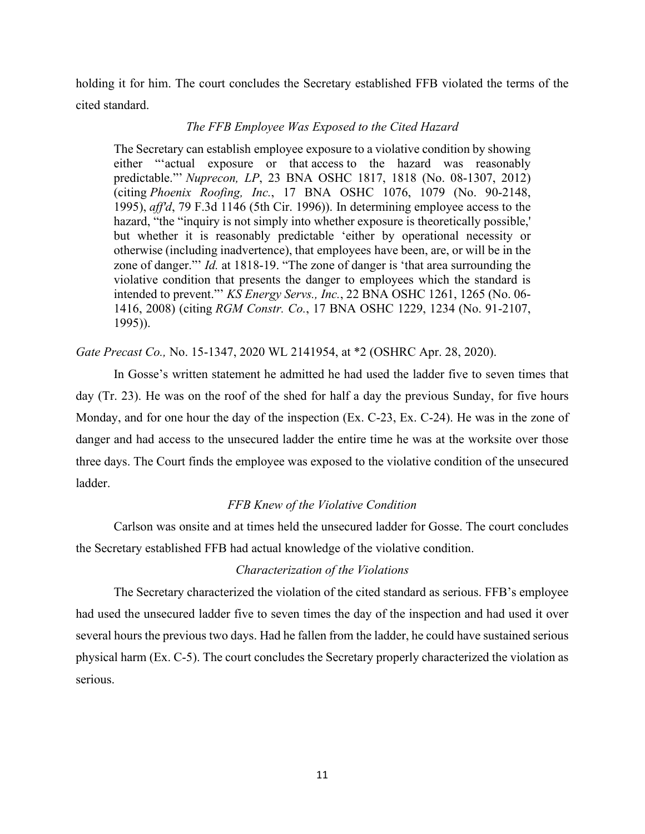holding it for him. The court concludes the Secretary established FFB violated the terms of the cited standard.

# *The FFB Employee Was Exposed to the Cited Hazard*

The Secretary can establish employee exposure to a violative condition by showing either "'actual exposure or that access to the hazard was reasonably predictable."' *Nuprecon, LP*, 23 BNA OSHC 1817, 1818 (No. 08-1307, 2012) (citing *Phoenix Roofing, Inc.*, 17 BNA OSHC 1076, 1079 (No. 90-2148, 1995), *aff'd*, 79 F.3d 1146 (5th Cir. 1996)). In determining employee access to the hazard, "the "inquiry is not simply into whether exposure is theoretically possible," but whether it is reasonably predictable 'either by operational necessity or otherwise (including inadvertence), that employees have been, are, or will be in the zone of danger."' *Id.* at 1818-19. "The zone of danger is 'that area surrounding the violative condition that presents the danger to employees which the standard is intended to prevent."' *KS Energy Servs., Inc.*, 22 BNA OSHC 1261, 1265 (No. 06- 1416, 2008) (citing *RGM Constr. Co.*, 17 BNA OSHC 1229, 1234 (No. 91-2107, 1995)).

*Gate Precast Co.,* No. 15-1347, 2020 WL 2141954, at \*2 (OSHRC Apr. 28, 2020).

In Gosse's written statement he admitted he had used the ladder five to seven times that day (Tr. 23). He was on the roof of the shed for half a day the previous Sunday, for five hours Monday, and for one hour the day of the inspection (Ex. C-23, Ex. C-24). He was in the zone of danger and had access to the unsecured ladder the entire time he was at the worksite over those three days. The Court finds the employee was exposed to the violative condition of the unsecured ladder.

# *FFB Knew of the Violative Condition*

Carlson was onsite and at times held the unsecured ladder for Gosse. The court concludes the Secretary established FFB had actual knowledge of the violative condition.

#### *Characterization of the Violations*

The Secretary characterized the violation of the cited standard as serious. FFB's employee had used the unsecured ladder five to seven times the day of the inspection and had used it over several hours the previous two days. Had he fallen from the ladder, he could have sustained serious physical harm (Ex. C-5). The court concludes the Secretary properly characterized the violation as serious.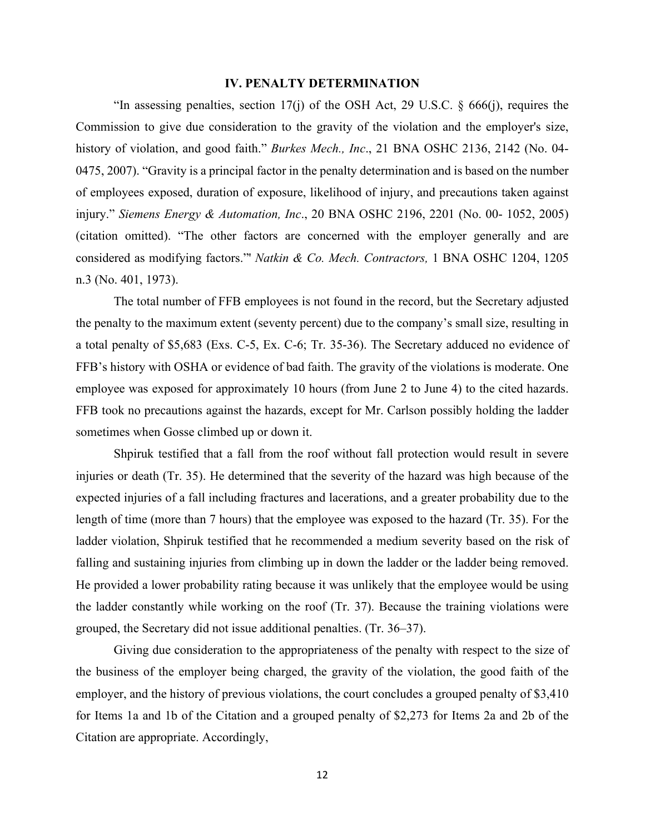#### **IV. PENALTY DETERMINATION**

"In assessing penalties, section 17(j) of the OSH Act, 29 U.S.C. § 666(j), requires the Commission to give due consideration to the gravity of the violation and the employer's size, history of violation, and good faith." *Burkes Mech., Inc*., 21 BNA OSHC 2136, 2142 (No. 04- 0475, 2007). "Gravity is a principal factor in the penalty determination and is based on the number of employees exposed, duration of exposure, likelihood of injury, and precautions taken against injury." *Siemens Energy & Automation, Inc*., 20 BNA OSHC 2196, 2201 (No. 00- 1052, 2005) (citation omitted). "The other factors are concerned with the employer generally and are considered as modifying factors."' *Natkin & Co. Mech. Contractors,* 1 BNA OSHC 1204, 1205 n.3 (No. 401, 1973).

The total number of FFB employees is not found in the record, but the Secretary adjusted the penalty to the maximum extent (seventy percent) due to the company's small size, resulting in a total penalty of \$5,683 (Exs. C-5, Ex. C-6; Tr. 35-36). The Secretary adduced no evidence of FFB's history with OSHA or evidence of bad faith. The gravity of the violations is moderate. One employee was exposed for approximately 10 hours (from June 2 to June 4) to the cited hazards. FFB took no precautions against the hazards, except for Mr. Carlson possibly holding the ladder sometimes when Gosse climbed up or down it.

 Shpiruk testified that a fall from the roof without fall protection would result in severe injuries or death (Tr. 35). He determined that the severity of the hazard was high because of the expected injuries of a fall including fractures and lacerations, and a greater probability due to the length of time (more than 7 hours) that the employee was exposed to the hazard (Tr. 35). For the ladder violation, Shpiruk testified that he recommended a medium severity based on the risk of falling and sustaining injuries from climbing up in down the ladder or the ladder being removed. He provided a lower probability rating because it was unlikely that the employee would be using the ladder constantly while working on the roof (Tr. 37). Because the training violations were grouped, the Secretary did not issue additional penalties. (Tr. 36–37).

Giving due consideration to the appropriateness of the penalty with respect to the size of the business of the employer being charged, the gravity of the violation, the good faith of the employer, and the history of previous violations, the court concludes a grouped penalty of \$3,410 for Items 1a and 1b of the Citation and a grouped penalty of \$2,273 for Items 2a and 2b of the Citation are appropriate. Accordingly,